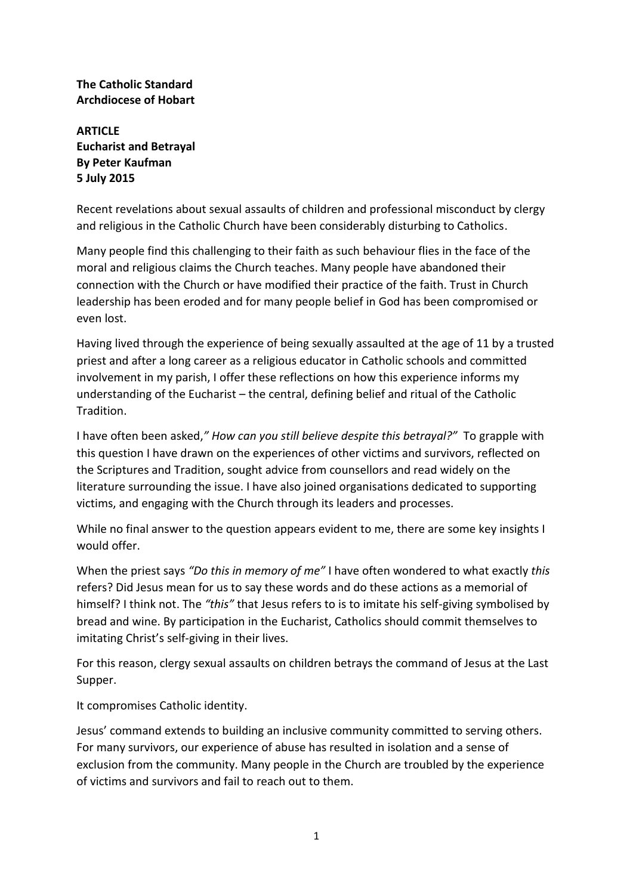## **The Catholic Standard Archdiocese of Hobart**

**ARTICLE Eucharist and Betrayal By Peter Kaufman 5 July 2015**

Recent revelations about sexual assaults of children and professional misconduct by clergy and religious in the Catholic Church have been considerably disturbing to Catholics.

Many people find this challenging to their faith as such behaviour flies in the face of the moral and religious claims the Church teaches. Many people have abandoned their connection with the Church or have modified their practice of the faith. Trust in Church leadership has been eroded and for many people belief in God has been compromised or even lost.

Having lived through the experience of being sexually assaulted at the age of 11 by a trusted priest and after a long career as a religious educator in Catholic schools and committed involvement in my parish, I offer these reflections on how this experience informs my understanding of the Eucharist – the central, defining belief and ritual of the Catholic Tradition.

I have often been asked,*" How can you still believe despite this betrayal?"* To grapple with this question I have drawn on the experiences of other victims and survivors, reflected on the Scriptures and Tradition, sought advice from counsellors and read widely on the literature surrounding the issue. I have also joined organisations dedicated to supporting victims, and engaging with the Church through its leaders and processes.

While no final answer to the question appears evident to me, there are some key insights I would offer.

When the priest says *"Do this in memory of me"* I have often wondered to what exactly *this*  refers? Did Jesus mean for us to say these words and do these actions as a memorial of himself? I think not. The *"this"* that Jesus refers to is to imitate his self-giving symbolised by bread and wine. By participation in the Eucharist, Catholics should commit themselves to imitating Christ's self-giving in their lives.

For this reason, clergy sexual assaults on children betrays the command of Jesus at the Last Supper.

It compromises Catholic identity.

Jesus' command extends to building an inclusive community committed to serving others. For many survivors, our experience of abuse has resulted in isolation and a sense of exclusion from the community. Many people in the Church are troubled by the experience of victims and survivors and fail to reach out to them.